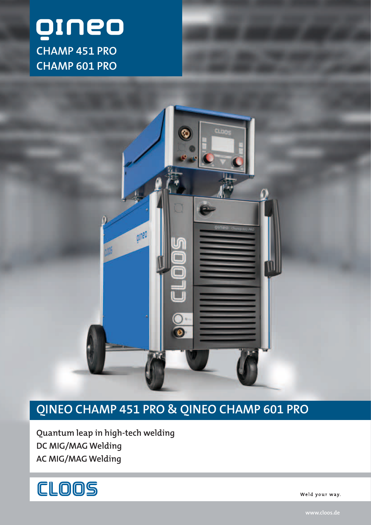



## **QINEO CHAMP 451 PRO & QINEO CHAMP 601 PRO**

**Quantum leap in high-tech welding DC MIG/MAG Welding AC MIG/MAG Welding** 



Weld your way.

**www.cloos.de**